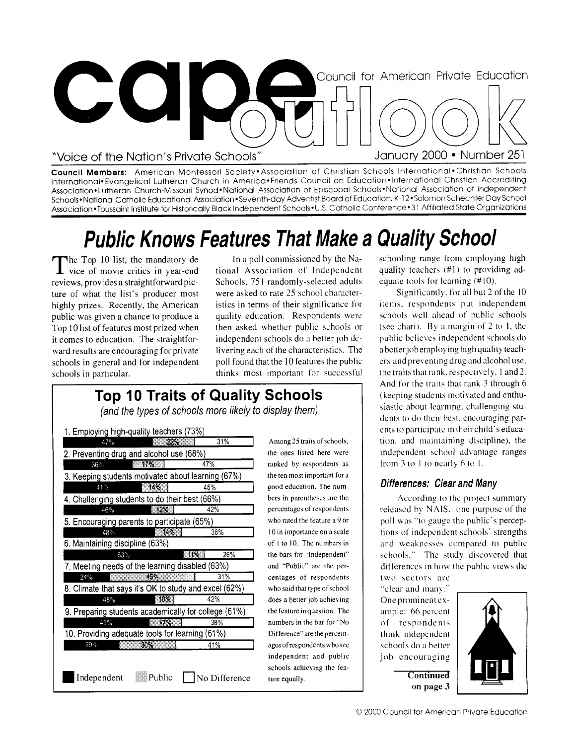

**Council Members:** American Montessori Society•Association of Christian Schools International•Christian Schools International• Evangelical Lutheran Church in America•Friends Council on Education•International Christian Accrediting Association• Lutheran Church-Missouri Synod•National Association of Episcopal Schools• National Association of Independent Schools• National Catholic Educational Association •Seventh-day Adventist Board of Education, K-12 • Solomon Schechter Day School Association •Toussaint Institute for Historically Black Independent Schools• U.S. Catholic Conference • 31 Affiliated State Organizations

# **Public Knows Features That Make a Quality School**

The Top 10 list, the mandatory de<br>
vice of movie critics in year-end The Top 10 list, the mandatory de reviews, provides a straightforward picture of what the list's producer most highly prizes. Recently, the American public was given a chance to produce a Top 10 list of features most prized when it comes to education. The straightforward results are encouraging for private schools in general and for independent schools in particular.

In a poll commissioned by the National Association of Independent Schools, 751 randomly-selected adults were asked to rate 25 school characteristics in terms of their significance for quality education. Respondents were then asked whether public schools or independent schools do a better job delivering each of the characteristics. The poll found that the 10 features the public thinks most important for successful

### **Top 10 Traits of Quality Schools**

(and the types of schools more likely to display them)

| 1. Employing high-quality teachers (73%)              |                             |                                             |
|-------------------------------------------------------|-----------------------------|---------------------------------------------|
| 47%<br>22%                                            | 31%                         | Among 25 traits of schools.                 |
| 2. Preventing drug and alcohol use (68%)              |                             | the ones listed here were                   |
| 36%<br>17%                                            | 47%                         | ranked by respondents as                    |
| 3. Keeping students motivated about learning (67%)    |                             | the ten most important for a                |
| 14%<br>41%                                            | 45%                         | good education. The num-                    |
| 4. Challenging students to do their best (66%)        | bers in parentheses are the |                                             |
| $-12%$<br>46%                                         | 42%                         | percentages of respondents                  |
| 5. Encouraging parents to participate (65%)           |                             | who rated the feature a 9 or                |
| TA YA<br>48%                                          | 38%                         | 10 in importance on a scale                 |
| 6. Maintaining discipline (63%)                       |                             | of $1$ to $10$ . The numbers in             |
| 63%                                                   | 26%<br>-11%                 | the bars for "Independent"                  |
| 7. Meeting needs of the learning disabled (63%)       |                             | and "Public" are the per-                   |
| 45%<br>24%                                            | 31%                         | centages of respondents                     |
| 8. Climate that says it's OK to study and excel (62%) |                             | who said that type of school                |
| 50%<br>48%                                            | 42%                         | does a better job achieving                 |
| 9. Preparing students academically for college (61%)  |                             | the feature in question. The                |
| 45%<br>17%                                            | 38%                         | numbers in the bar for "No                  |
| 10. Providing adequate tools for learning (61%)       |                             | Difference" are the percent-                |
| 29%<br>30%                                            | 41%                         | ages of respondents who see                 |
|                                                       |                             | independent and public                      |
| Independent<br>Public                                 | No Difference               | schools achieving the fea-<br>ture equally. |

schooling range from employing high quality teachers (#I) to providing adequate tools for learning (#10).

Significantly. for all hut 2 of the 10 items, respondents put independent schools well ahead of public schools (see chart). By a margin of 2 to 1, the public believes independent schools do a better job employing high quality teachers and preventing drug and alcohol use, the traits that rank, respectively, 1 and 2. And for the traits that rank 3 through 6 (keeping students motivated and enthusiastic about learning, challenging students to do their best, encouraging parents to participate in their child's education, and maintaining discipline), the independent school advantage ranges from 3 to I to nearly 6 to 1.

#### Differences: Clear and Many

According to the project summary released by NAIS. one purpose of the poll was "to gauge the public's perceptions of independent schools' strengths and weaknesses compared to public schools." The study discovered that differences in how the public views the two sectors are

"clear and many." One prominent example: 66 percent of respondents think independent schools do a better job encouraging



**Continued on page 3**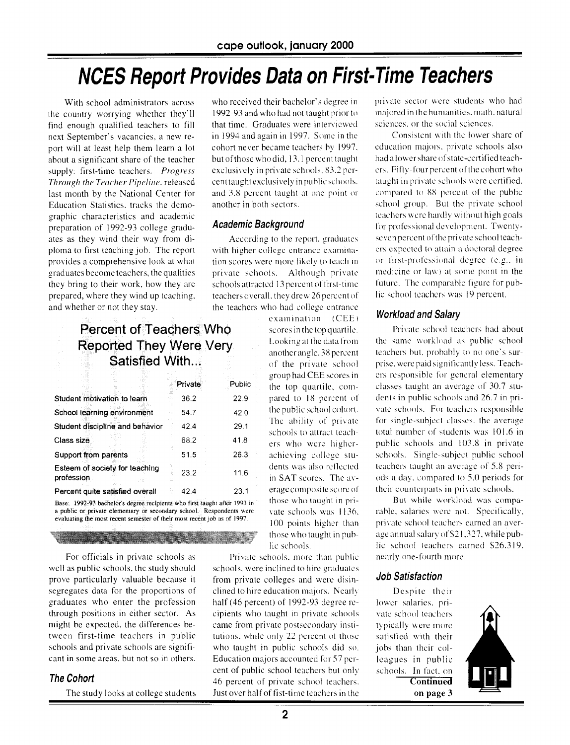### NCES Report Provides Data on First-Time Teachers

With school administrators across the country worrying whether they'll find enough qualified teachers to fill next September's vacancies, a new report will at least help them learn a lot about a significant share of the teacher supply: first-time teachers. *Progress Through the Teacher Pipeline,* released last month by the National Center for Education Statistics, tracks the demographic characteristics and academic preparation of 1992-93 college graduates as they wind their way from diploma to first teaching job. The report provides a comprehensive look at what graduates become teachers, the qualities they bring to their work, how they are prepared, where they wind up teaching. and whether or not they stay.

#### Percent of Teachers Who Reported They Were Satisfied With...

|                                                                          | Private | Public |
|--------------------------------------------------------------------------|---------|--------|
| Student motivation to learn                                              | 36.2    | 22.9   |
| School learning environment                                              | 54.7    | 42.0   |
| Student discipline and behavior                                          | 42.4    | 29.1   |
| Class size                                                               | 68.2    | 41.8   |
| Support from parents                                                     | 51.5    | 26.3   |
| Esteem of society for teaching<br>profession                             | 23.2    | 11.6   |
| Percent quite satisfied overall                                          | 42.4    | 23.1   |
| The collection of the Europe of Secretary and the Contractor of the Hood |         |        |

1992-93 bachelor's degree recipients who first taught after 1993 in a public or private elementary or secondary school. Respondents were evaluating the most recent semester of their most recent job as of 1997.

For officials in private schools as well as public schools, the study should prove particularly valuable because it segregates data for the proportions of graduates who enter the profession through positions in either sector. As might be expected, the differences between first-time teachers in public schools and private schools are significant in some areas, but not so in others.

#### The Cohort

The study looks at college students

who received their bachelor's degree in 1992-93 and who had not taught prior to that time. Graduates were interviewed in 1994 and again in 1997. Some in the cohort never became teachers by 1997. but of those who did, 13.1 percent taught exclusively in private schools, 83.2 percent taught exclusively in public schools. and 3.8 percent taught at one point or another in both sectors.

#### Academic Background

According to the report. graduates with higher college entrance examination scores were more likely to teach in private schools. Although private schools attracted 13 percent of first-tine teachers overall, they drew 26 percent of the teachers who had college entrance

> examination (CEE) scores in the top quartile. Looking at the data from another angle, 38 percent of the private school group had CEE scores in the top quartile, compared to 18 percent of the public school cohort. The ability of private schools to attract teachers who were higherachieving college students was also reflected in SAT scores. The average composite score of those who taught in private schools was 1136. 100 points higher than those who taught in pub-

lic schools.

Private schools, more than public schools, were inclined to hire graduates from private colleges and were disinclined to hire education majors. Nearly half (46 percent) of 1992-93 degree recipients who taught in private schools came from private postsecondary institutions. while only 22 percent of those who taught in public schools did so. Education majors accounted for 57 percent of public school teachers but only 46 percent of private school teachers. Just over half of fist-time teachers in the private sector were students who had majored in the humanities, math, natural sciences. or the social sciences.

Consistent with the lower share of education majors. private schools also had a lower share of state-certified teachers. Fifty- four percent of the cohort who taught in private schools were certified. compared to 88 percent of the public school group. But the private school teachers were hardly without high goals for professional development. Twentyseven percent of the private school teachers expected to attain a doctoral degree or first-professional degree (e.g.. in medicine or law) at some point in the future. The comparable figure for public school teachers was 19 percent.

#### Workload and Salary

Private school teachers had about the same workload as public school teachers hut, probably to no one's surprise, were paid significantly less. Teachers responsible for general elementary classes taught an average of 30.7 students in public schools and 26.7 in private schools. For teachers responsible for single-subject classes, the average total number of students was 101.6 in public schools and 103.8 in private schools. Single-subject public school teachers taught an average of 5.8 periods a day. compared to 5.0 periods for their counterparts in private schools.

But while workload was comparable, salaries were not. Specifically. private school teachers earned an average annual salary of \$21.327, while public school teachers earned \$26.319. nearly one-fourth more.

#### Job Satisfaction

Despite their lower salaries, private school teachers typically were more satisfied with their jobs than their colleagues in public schools. In fact. on **C**ontinue**d**  on page 3

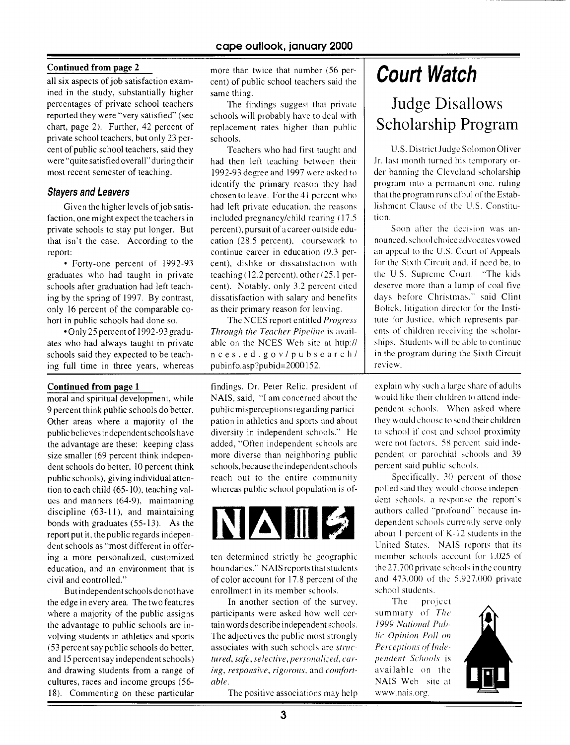#### **Continued from page** 2

all six aspects of job satisfaction examined in the study, substantially higher percentages of private school teachers reported they were "very satisfied" (see chart, page 2). Further, 42 percent of private school teachers, but only 23 percent of public school teachers, said they were "quite satisfied overall" during their most recent semester of teaching.

#### **Stayers and Leavers**

Given the higher levels of job satisfaction, one might expect the teachers in private schools to stay put longer. But that isn't the case. According to the report:

• Forty-one percent of 1992-93 graduates who had taught in private schools after graduation had left teaching by the spring of 1997. By contrast, only 16 percent of the comparable cohort in public schools had done so.

• Only 25 percent of 1992-93 graduates who had always taught in private schools said they expected to be teaching full time in three years, whereas

#### **Continued from page 1**

moral and spiritual development, while 9 percent think public schools do better. Other areas where a majority of the public believes independent schools have the advantage are these: keeping class size smaller (69 percent think independent schools do better, 10 percent think public schools), giving individual attention to each child (65-10), teaching values and manners (64-9), maintaining discipline (63-11), and maintaining bonds with graduates (55-13). As the report put it, the public regards independent schools as "most different in offering a more personalized, customized education, and an environment that is civil and controlled."

But independent schools do not have the edge in every area. The two features where a majority of the public assigns participants were asked how well cer- summary of The the advantage to public schools are in- tain words describe independent schools. *1999 National Prrh*volving students in athletics and sports The adjectives the public most strongly *lie Opinion Poll oil*  (53 percent say public schools do better, associates with such schools are *stoic- Perceptions* of *hide*and 15 percent say independent schools) *tured, safe, selective, personalized, car- pendent Schools* is and drawing students from a range of *ing, responsive, rigorous,* and *comfort-* available on the cultures, races and income groups (56- *able.* **able. NAIS** Web site at **NAIS** Web site at 18). Commenting on these particular The positive associations may help www.nais.org.

more than twice that number (56 percent) of public school teachers said the same thing.

The findings suggest that private schools will probably have to deal with replacement rates higher than public schools.

Teachers who had first taught and had then left teaching between their 1992-93 degree and 1997 were asked to identify the primary reason they had chosen to leave. For the 41 percent who had left private education, the reasons included pregnancy/child rearing (17.5 percent), pursuit of a career outside education (28.5 percent), coursework to continue career in education (9.3 percent), dislike or dissatisfaction with teaching (12.2 percent). other (25.1 percent). Notably, only 3.2 percent cited dissatisfaction with salary and benefits as their primary reason for leaving.

The NCES report entitled *Progress Through the Teacher Pipeline is* available on the NCES Web site at http:// nces.ed.gov/pubsearch/ pubinfo.asp?pubid=2000152.

findings, Dr. Peter Relic, president of NAIS, said, "I am concerned about the public misperceptions regarding participation in athletics and sports and about diversity in independent schools." He added, "Often independent schools are more diverse than neighboring public schools, because the independent schools reach out to the entire community whereas public school population is of-



ten determined strictly be geographic boundaries." NAIS reports that students of color account for 17.8 percent of the enrollment in its member schools.

In another section of the survey.

## **Court Watch**

Judge Disallows Scholarship Program

U.S. District Judge Solomon Oliver Jr. last month turned his temporary order banning the Cleveland scholarship program into a permanent one, ruling that the program runs afoul of the Establishment Clause of the U.S. Constitution.

Soon after the decision was announced. school choice advocates vowed an appeal to the U.S. Court of Appeals for the Sixth Circuit and, if need be, to the U.S. Supreme Court. "The kids deserve more than a lump of coal five days before Christmas." said Clint Bolick, litigation director for the Institute for Justice, which represents parents of children receiving the scholarships. Students will he able to continue in the program during the Sixth Circuit review.

explain why such a large share of adults would like their children to attend independent schools. When asked where they would choose to send their children to school if cost and school proximity were not factors. 58 percent said independent or parochial schools and 39 percent said public schools.

Specifically. 30 percent of those polled said they would choose independent schools, a response the report's authors called "profound" because independent schools currently serve only about 1 percent of K- 12 students in the United States. NAIS reports that its member schools account for 1.025 of the 27,700 private schools in the country and 473,000 of the 5.927.000 private school students.

The project